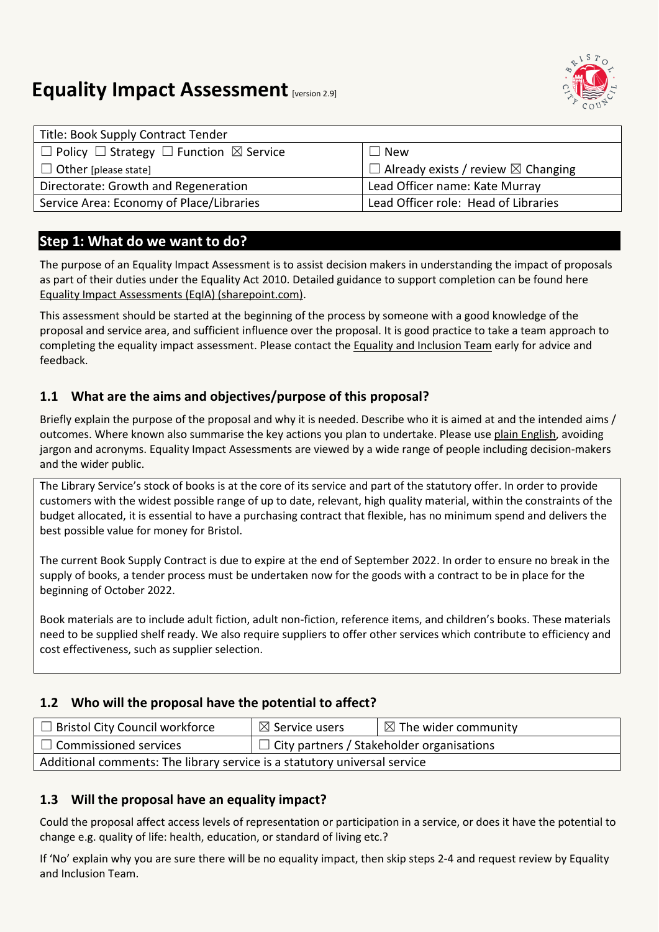

# **Equality Impact Assessment [version 2.9]**

| Title: Book Supply Contract Tender                                |                                                     |
|-------------------------------------------------------------------|-----------------------------------------------------|
| $\Box$ Policy $\Box$ Strategy $\Box$ Function $\boxtimes$ Service | $\Box$ New                                          |
| $\Box$ Other [please state]                                       | $\Box$ Already exists / review $\boxtimes$ Changing |
| Directorate: Growth and Regeneration                              | Lead Officer name: Kate Murray                      |
| Service Area: Economy of Place/Libraries                          | Lead Officer role: Head of Libraries                |

## **Step 1: What do we want to do?**

The purpose of an Equality Impact Assessment is to assist decision makers in understanding the impact of proposals as part of their duties under the Equality Act 2010. Detailed guidance to support completion can be found here [Equality Impact Assessments \(EqIA\) \(sharepoint.com\).](https://bristolcouncil.sharepoint.com/sites/Corporate/SitePages/equality-impact-assessments.aspx) 

This assessment should be started at the beginning of the process by someone with a good knowledge of the proposal and service area, and sufficient influence over the proposal. It is good practice to take a team approach to completing the equality impact assessment. Please contact the [Equality and Inclusion Team](mailto:equalities.team@bristol.gov.uk) early for advice and feedback.

#### **1.1 What are the aims and objectives/purpose of this proposal?**

Briefly explain the purpose of the proposal and why it is needed. Describe who it is aimed at and the intended aims / outcomes. Where known also summarise the key actions you plan to undertake. Please us[e plain English,](http://www.plainenglish.co.uk/) avoiding jargon and acronyms. Equality Impact Assessments are viewed by a wide range of people including decision-makers and the wider public.

The Library Service's stock of books is at the core of its service and part of the statutory offer. In order to provide customers with the widest possible range of up to date, relevant, high quality material, within the constraints of the budget allocated, it is essential to have a purchasing contract that flexible, has no minimum spend and delivers the best possible value for money for Bristol.

The current Book Supply Contract is due to expire at the end of September 2022. In order to ensure no break in the supply of books, a tender process must be undertaken now for the goods with a contract to be in place for the beginning of October 2022.

Book materials are to include adult fiction, adult non-fiction, reference items, and children's books. These materials need to be supplied shelf ready. We also require suppliers to offer other services which contribute to efficiency and cost effectiveness, such as supplier selection.

#### **1.2 Who will the proposal have the potential to affect?**

| $\Box$ Bristol City Council workforce                                     | $\boxtimes$ Service users                        | $\boxtimes$ The wider community |  |
|---------------------------------------------------------------------------|--------------------------------------------------|---------------------------------|--|
| $\Box$ Commissioned services                                              | $\Box$ City partners / Stakeholder organisations |                                 |  |
| Additional comments: The library service is a statutory universal service |                                                  |                                 |  |

#### **1.3 Will the proposal have an equality impact?**

Could the proposal affect access levels of representation or participation in a service, or does it have the potential to change e.g. quality of life: health, education, or standard of living etc.?

If 'No' explain why you are sure there will be no equality impact, then skip steps 2-4 and request review by Equality and Inclusion Team.